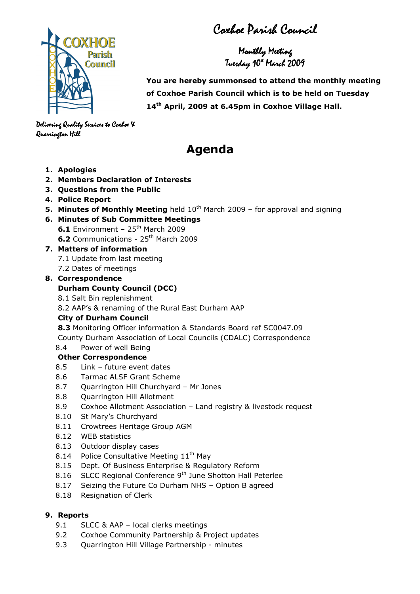Coxhoe Parish Council

Monthly Meeting Tuesday 10ª March 2009



 You are hereby summonsed to attend the monthly meeting of Coxhoe Parish Council which is to be held on Tuesday 14<sup>th</sup> April, 2009 at 6.45pm in Coxhoe Village Hall.

Delivering Quality Services to Coxhoe X Quarrington Hill Quarrington Hill

# Agenda

- 1. Apologies
- 2. Members Declaration of Interests
- 3. Questions from the Public
- 4. Police Report
- **5. Minutes of Monthly Meeting** held  $10<sup>th</sup>$  March 2009 for approval and signing
- 6. Minutes of Sub Committee Meetings

**6.1** Environment -  $25<sup>th</sup>$  March 2009

6.2 Communications - 25<sup>th</sup> March 2009

#### 7. Matters of information

- 7.1 Update from last meeting
- 7.2 Dates of meetings

#### 8. Correspondence

## Durham County Council (DCC)

8.1 Salt Bin replenishment

8.2 AAP's & renaming of the Rural East Durham AAP

## City of Durham Council

8.3 Monitoring Officer information & Standards Board ref SC0047.09 County Durham Association of Local Councils (CDALC) Correspondence

## 8.4 Power of well Being

#### Other Correspondence

- 8.5 Link future event dates
- 8.6 Tarmac ALSF Grant Scheme
- 8.7 Quarrington Hill Churchyard Mr Jones
- 8.8 Quarrington Hill Allotment
- 8.9 Coxhoe Allotment Association Land registry & livestock request
- 8.10 St Mary's Churchyard
- 8.11 Crowtrees Heritage Group AGM
- 8.12 WEB statistics
- 8.13 Outdoor display cases
- 8.14 Police Consultative Meeting 11<sup>th</sup> May
- 8.15 Dept. Of Business Enterprise & Regulatory Reform
- 8.16 SLCC Regional Conference 9<sup>th</sup> June Shotton Hall Peterlee
- 8.17 Seizing the Future Co Durham NHS Option B agreed
- 8.18 Resignation of Clerk

## 9. Reports

- 9.1 SLCC & AAP local clerks meetings
- 9.2 Coxhoe Community Partnership & Project updates
- 9.3 Quarrington Hill Village Partnership minutes